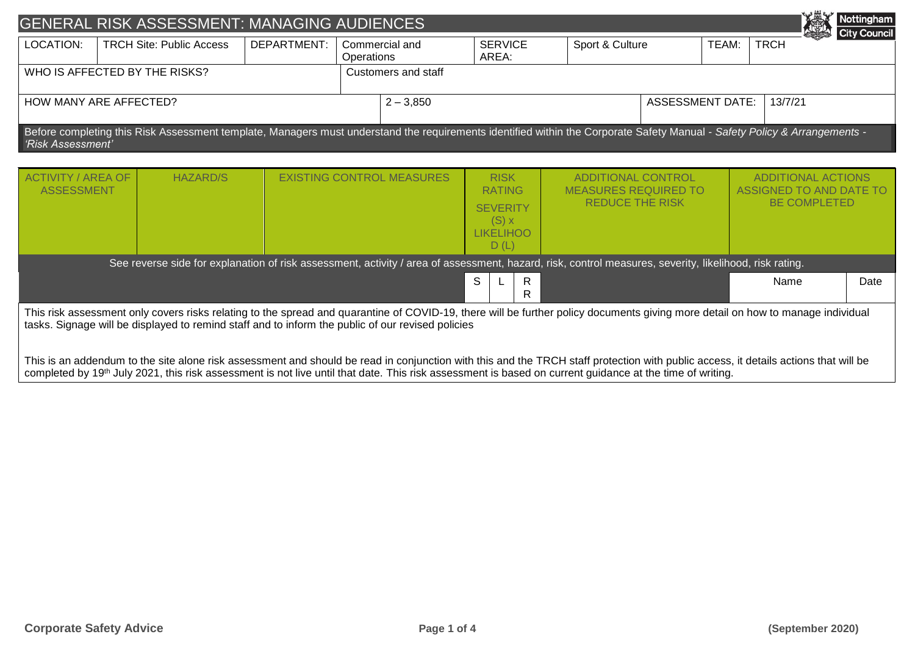|                               |                                                                                                                                                                                                | <b>GENERAL RISK ASSESSMENT: MANAGING AUDIENCES</b>                                                                                                                                                                                                                                                                                                                                                                                                                                                                                                                                                                                      |             |                                                                                                                            |                     |   |                           |  |                                                       |                         |                                                                             |             |  | Nottingham |
|-------------------------------|------------------------------------------------------------------------------------------------------------------------------------------------------------------------------------------------|-----------------------------------------------------------------------------------------------------------------------------------------------------------------------------------------------------------------------------------------------------------------------------------------------------------------------------------------------------------------------------------------------------------------------------------------------------------------------------------------------------------------------------------------------------------------------------------------------------------------------------------------|-------------|----------------------------------------------------------------------------------------------------------------------------|---------------------|---|---------------------------|--|-------------------------------------------------------|-------------------------|-----------------------------------------------------------------------------|-------------|--|------------|
| LOCATION:                     |                                                                                                                                                                                                | <b>TRCH Site: Public Access</b>                                                                                                                                                                                                                                                                                                                                                                                                                                                                                                                                                                                                         | DEPARTMENT: | Commercial and<br>Operations                                                                                               |                     |   | <b>SERVICE</b><br>AREA:   |  | Sport & Culture                                       |                         | TEAM:                                                                       | <b>TRCH</b> |  |            |
| WHO IS AFFECTED BY THE RISKS? |                                                                                                                                                                                                |                                                                                                                                                                                                                                                                                                                                                                                                                                                                                                                                                                                                                                         |             |                                                                                                                            | Customers and staff |   |                           |  |                                                       |                         |                                                                             |             |  |            |
| HOW MANY ARE AFFECTED?        |                                                                                                                                                                                                |                                                                                                                                                                                                                                                                                                                                                                                                                                                                                                                                                                                                                                         |             |                                                                                                                            | $2 - 3,850$         |   |                           |  |                                                       | <b>ASSESSMENT DATE:</b> |                                                                             | 13/7/21     |  |            |
|                               | Before completing this Risk Assessment template, Managers must understand the requirements identified within the Corporate Safety Manual - Safety Policy & Arrangements -<br>'Risk Assessment' |                                                                                                                                                                                                                                                                                                                                                                                                                                                                                                                                                                                                                                         |             |                                                                                                                            |                     |   |                           |  |                                                       |                         |                                                                             |             |  |            |
|                               | <b>ACTIVITY / AREA OF</b><br><b>HAZARD/S</b><br><b>ASSESSMENT</b>                                                                                                                              |                                                                                                                                                                                                                                                                                                                                                                                                                                                                                                                                                                                                                                         |             | <b>RISK</b><br><b>EXISTING CONTROL MEASURES</b><br><b>RATING</b><br><b>SEVERITY</b><br>$(S)$ x<br><b>LIKELIHOO</b><br>D(L) |                     |   | <b>ADDITIONAL CONTROL</b> |  | <b>MEASURES REQUIRED TO</b><br><b>REDUCE THE RISK</b> |                         | <b>ADDITIONAL ACTIONS</b><br>ASSIGNED TO AND DATE TO<br><b>BE COMPLETED</b> |             |  |            |
|                               |                                                                                                                                                                                                | See reverse side for explanation of risk assessment, activity / area of assessment, hazard, risk, control measures, severity, likelihood, risk rating.                                                                                                                                                                                                                                                                                                                                                                                                                                                                                  |             |                                                                                                                            |                     |   |                           |  |                                                       |                         |                                                                             | Name        |  |            |
|                               |                                                                                                                                                                                                |                                                                                                                                                                                                                                                                                                                                                                                                                                                                                                                                                                                                                                         |             |                                                                                                                            |                     | S | R<br>R                    |  |                                                       |                         |                                                                             |             |  | Date       |
|                               |                                                                                                                                                                                                | This risk assessment only covers risks relating to the spread and quarantine of COVID-19, there will be further policy documents giving more detail on how to manage individual<br>tasks. Signage will be displayed to remind staff and to inform the public of our revised policies<br>This is an addendum to the site alone risk assessment and should be read in conjunction with this and the TRCH staff protection with public access, it details actions that will be<br>completed by 19th July 2021, this risk assessment is not live until that date. This risk assessment is based on current guidance at the time of writing. |             |                                                                                                                            |                     |   |                           |  |                                                       |                         |                                                                             |             |  |            |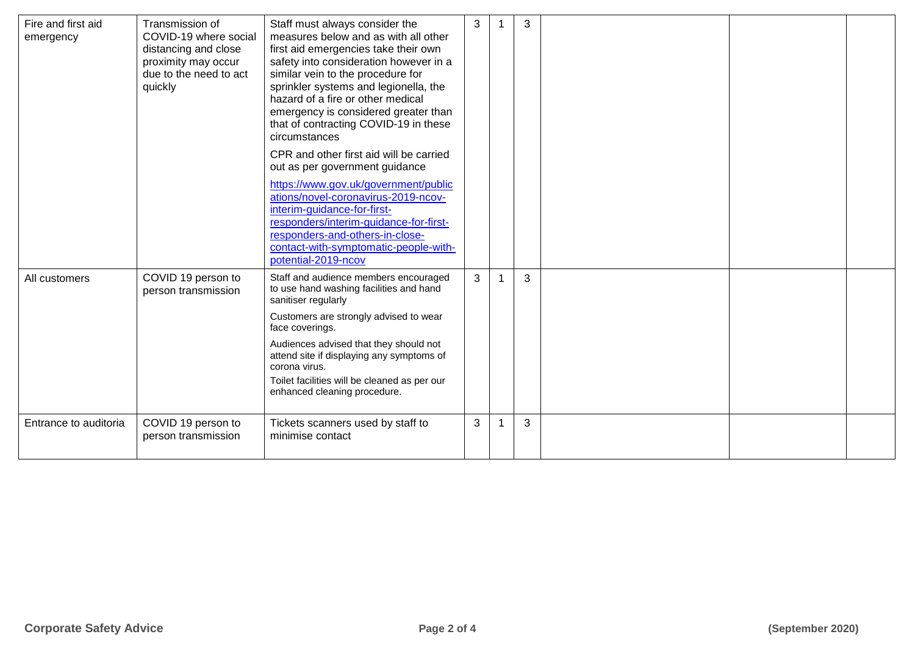| Fire and first aid<br>emergency | Transmission of<br>COVID-19 where social<br>distancing and close<br>proximity may occur<br>due to the need to act<br>quickly | Staff must always consider the<br>measures below and as with all other<br>first aid emergencies take their own<br>safety into consideration however in a<br>similar vein to the procedure for<br>sprinkler systems and legionella, the<br>hazard of a fire or other medical<br>emergency is considered greater than<br>that of contracting COVID-19 in these<br>circumstances<br>CPR and other first aid will be carried<br>out as per government guidance<br>https://www.gov.uk/government/public<br>ations/novel-coronavirus-2019-ncov-<br>interim-guidance-for-first-<br>responders/interim-guidance-for-first-<br>responders-and-others-in-close-<br>contact-with-symptomatic-people-with-<br>potential-2019-ncov | $\mathbf{3}$ | 3 |  |  |
|---------------------------------|------------------------------------------------------------------------------------------------------------------------------|-----------------------------------------------------------------------------------------------------------------------------------------------------------------------------------------------------------------------------------------------------------------------------------------------------------------------------------------------------------------------------------------------------------------------------------------------------------------------------------------------------------------------------------------------------------------------------------------------------------------------------------------------------------------------------------------------------------------------|--------------|---|--|--|
| All customers                   | COVID 19 person to<br>person transmission                                                                                    | Staff and audience members encouraged<br>to use hand washing facilities and hand<br>sanitiser regularly<br>Customers are strongly advised to wear<br>face coverings.<br>Audiences advised that they should not<br>attend site if displaying any symptoms of<br>corona virus.<br>Toilet facilities will be cleaned as per our<br>enhanced cleaning procedure.                                                                                                                                                                                                                                                                                                                                                          | 3            | 3 |  |  |
| Entrance to auditoria           | COVID 19 person to<br>person transmission                                                                                    | Tickets scanners used by staff to<br>minimise contact                                                                                                                                                                                                                                                                                                                                                                                                                                                                                                                                                                                                                                                                 | $\mathbf{3}$ | 3 |  |  |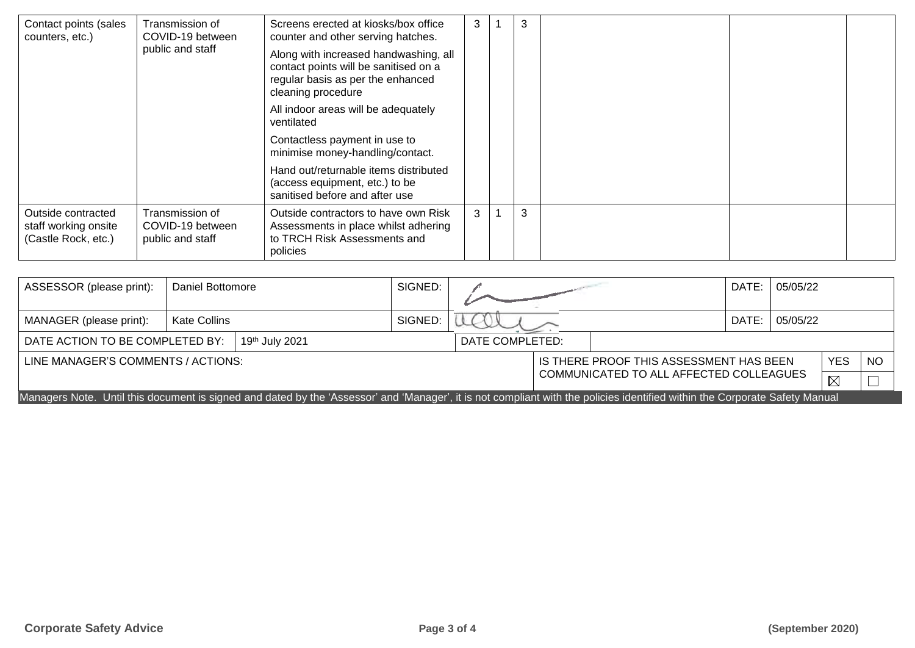| Contact points (sales<br>counters, etc.)                          | Transmission of<br>COVID-19 between<br>public and staff | Screens erected at kiosks/box office<br>counter and other serving hatches.<br>Along with increased handwashing, all<br>contact points will be sanitised on a<br>regular basis as per the enhanced<br>cleaning procedure<br>All indoor areas will be adequately<br>ventilated<br>Contactless payment in use to<br>minimise money-handling/contact.<br>Hand out/returnable items distributed<br>(access equipment, etc.) to be | 3 | 3 |  |  |
|-------------------------------------------------------------------|---------------------------------------------------------|------------------------------------------------------------------------------------------------------------------------------------------------------------------------------------------------------------------------------------------------------------------------------------------------------------------------------------------------------------------------------------------------------------------------------|---|---|--|--|
|                                                                   |                                                         | sanitised before and after use                                                                                                                                                                                                                                                                                                                                                                                               |   |   |  |  |
| Outside contracted<br>staff working onsite<br>(Castle Rock, etc.) | Transmission of<br>COVID-19 between<br>public and staff | Outside contractors to have own Risk<br>Assessments in place whilst adhering<br>to TRCH Risk Assessments and<br>policies                                                                                                                                                                                                                                                                                                     | 3 | 3 |  |  |

| ASSESSOR (please print):                                                                                                                                                    | Daniel Bottomore    |  | SIGNED: |  |       | DATE:                                           | 05/05/22 |  |             |           |
|-----------------------------------------------------------------------------------------------------------------------------------------------------------------------------|---------------------|--|---------|--|-------|-------------------------------------------------|----------|--|-------------|-----------|
| MANAGER (please print):                                                                                                                                                     | <b>Kate Collins</b> |  | SIGNED: |  | DATE: | 05/05/22                                        |          |  |             |           |
| DATE ACTION TO BE COMPLETED BY:<br>19th July 2021<br>DATE COMPLETED:                                                                                                        |                     |  |         |  |       |                                                 |          |  |             |           |
| LINE MANAGER'S COMMENTS / ACTIONS:                                                                                                                                          |                     |  |         |  |       | YES.<br>IS THERE PROOF THIS ASSESSMENT HAS BEEN |          |  |             | <b>NO</b> |
|                                                                                                                                                                             |                     |  |         |  |       | COMMUNICATED TO ALL AFFECTED COLLEAGUES         |          |  | $\boxtimes$ |           |
| Managers Note. Until this document is signed and dated by the 'Assessor' and 'Manager', it is not compliant with the policies identified within the Corporate Safety Manual |                     |  |         |  |       |                                                 |          |  |             |           |